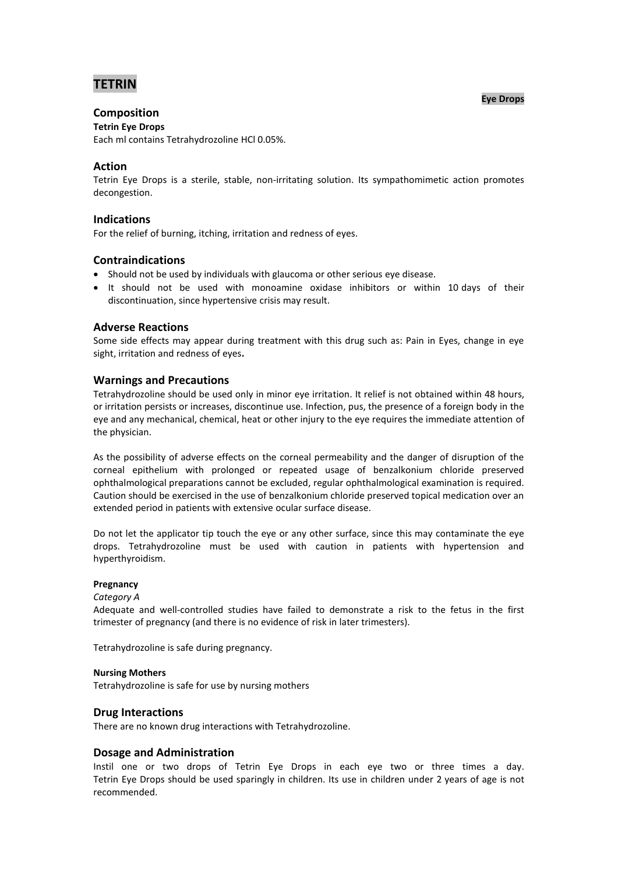# **TETRIN**

**Eye Drops**

# **Composition**

# **Tetrin Eye Drops**

Each ml contains Tetrahydrozoline HCl 0.05%.

## **Action**

Tetrin Eye Drops is a sterile, stable, non-irritating solution. Its sympathomimetic action promotes decongestion.

## **Indications**

For the relief of burning, itching, irritation and redness of eyes.

## **Contraindications**

- Should not be used by individuals with glaucoma or other serious eye disease.
- It should not be used with monoamine oxidase inhibitors or within 10 days of their discontinuation, since hypertensive crisis may result.

## **Adverse Reactions**

Some side effects may appear during treatment with this drug such as: Pain in Eyes, change in eye sight, irritation and redness of eyes**.**

#### **Warnings and Precautions**

Tetrahydrozoline should be used only in minor eye irritation. It relief is not obtained within 48 hours, or irritation persists or increases, discontinue use. Infection, pus, the presence of a foreign body in the eye and any mechanical, chemical, heat or other injury to the eye requires the immediate attention of the physician.

As the possibility of adverse effects on the corneal permeability and the danger of disruption of the corneal epithelium with prolonged or repeated usage of benzalkonium chloride preserved ophthalmological preparations cannot be excluded, regular ophthalmological examination is required. Caution should be exercised in the use of benzalkonium chloride preserved topical medication over an extended period in patients with extensive ocular surface disease.

Do not let the applicator tip touch the eye or any other surface, since this may contaminate the eye drops. Tetrahydrozoline must be used with caution in patients with hypertension and hyperthyroidism.

#### **Pregnancy**

#### *Category A*

Adequate and well-controlled studies have failed to demonstrate a risk to the fetus in the first trimester of pregnancy (and there is no evidence of risk in later trimesters).

Tetrahydrozoline is safe during pregnancy.

#### **Nursing Mothers**

Tetrahydrozoline is safe for use by nursing mothers

#### **Drug Interactions**

There are no known drug interactions with Tetrahydrozoline.

#### **Dosage and Administration**

Instil one or two drops of Tetrin Eye Drops in each eye two or three times a day. Tetrin Eye Drops should be used sparingly in children. Its use in children under 2 years of age is not recommended.